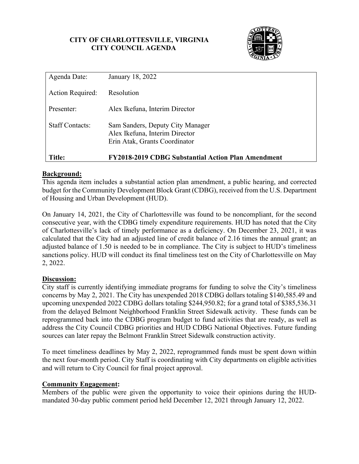# **CITY OF CHARLOTTESVILLE, VIRGINIA CITY COUNCIL AGENDA**



| Agenda Date:           | January 18, 2022                                                                                    |
|------------------------|-----------------------------------------------------------------------------------------------------|
| Action Required:       | Resolution                                                                                          |
| Presenter:             | Alex Ikefuna, Interim Director                                                                      |
| <b>Staff Contacts:</b> | Sam Sanders, Deputy City Manager<br>Alex Ikefuna, Interim Director<br>Erin Atak, Grants Coordinator |
| Title:                 | <b>FY2018-2019 CDBG Substantial Action Plan Amendment</b>                                           |

## **Background:**

This agenda item includes a substantial action plan amendment, a public hearing, and corrected budget for the Community Development Block Grant (CDBG), received from the U.S. Department of Housing and Urban Development (HUD).

On January 14, 2021, the City of Charlottesville was found to be noncompliant, for the second consecutive year, with the CDBG timely expenditure requirements. HUD has noted that the City of Charlottesville's lack of timely performance as a deficiency. On December 23, 2021, it was calculated that the City had an adjusted line of credit balance of 2.16 times the annual grant; an adjusted balance of 1.50 is needed to be in compliance. The City is subject to HUD's timeliness sanctions policy. HUD will conduct its final timeliness test on the City of Charlottesville on May 2, 2022.

## **Discussion:**

City staff is currently identifying immediate programs for funding to solve the City's timeliness concerns by May 2, 2021. The City has unexpended 2018 CDBG dollars totaling \$140,585.49 and upcoming unexpended 2022 CDBG dollars totaling \$244,950.82; for a grand total of \$385,536.31 from the delayed Belmont Neighborhood Franklin Street Sidewalk activity. These funds can be reprogrammed back into the CDBG program budget to fund activities that are ready, as well as address the City Council CDBG priorities and HUD CDBG National Objectives. Future funding sources can later repay the Belmont Franklin Street Sidewalk construction activity.

To meet timeliness deadlines by May 2, 2022, reprogrammed funds must be spent down within the next four-month period. City Staff is coordinating with City departments on eligible activities and will return to City Council for final project approval.

### **Community Engagement:**

Members of the public were given the opportunity to voice their opinions during the HUDmandated 30-day public comment period held December 12, 2021 through January 12, 2022.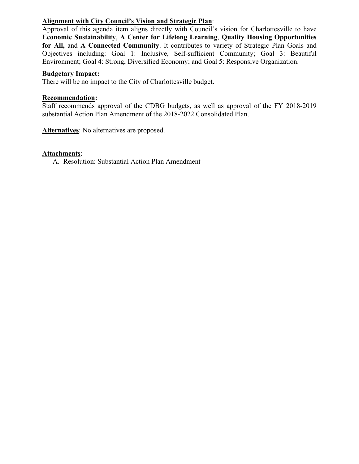# **Alignment with City Council's Vision and Strategic Plan**:

Approval of this agenda item aligns directly with Council's vision for Charlottesville to have **Economic Sustainability**, **A Center for Lifelong Learning**, **Quality Housing Opportunities for All,** and **A Connected Community**. It contributes to variety of Strategic Plan Goals and Objectives including: Goal 1: Inclusive, Self-sufficient Community; Goal 3: Beautiful Environment; Goal 4: Strong, Diversified Economy; and Goal 5: Responsive Organization.

### **Budgetary Impact:**

There will be no impact to the City of Charlottesville budget.

### **Recommendation:**

Staff recommends approval of the CDBG budgets, as well as approval of the FY 2018-2019 substantial Action Plan Amendment of the 2018-2022 Consolidated Plan.

**Alternatives**: No alternatives are proposed.

### **Attachments**:

A. Resolution: Substantial Action Plan Amendment